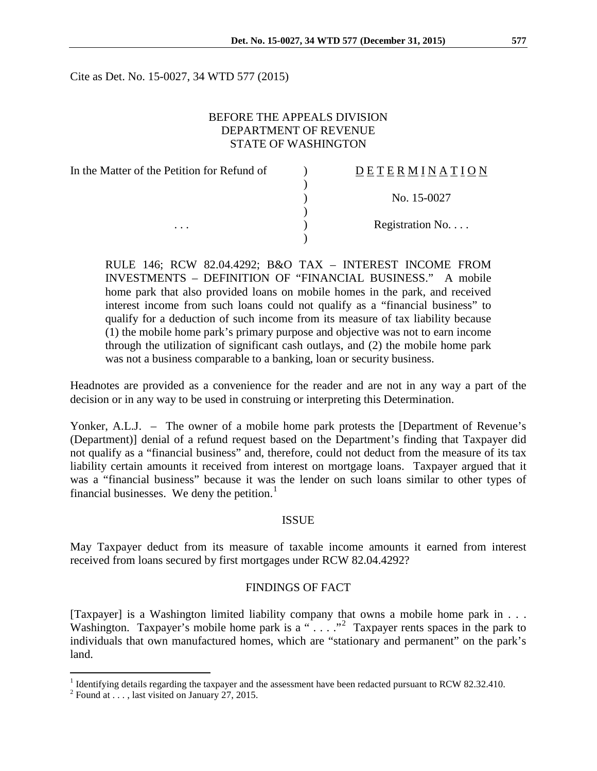Cite as Det. No. 15-0027, 34 WTD 577 (2015)

## BEFORE THE APPEALS DIVISION DEPARTMENT OF REVENUE STATE OF WASHINGTON

| In the Matter of the Petition for Refund of | <b>DETERMINATION</b> |  |
|---------------------------------------------|----------------------|--|
|                                             |                      |  |
|                                             | No. 15-0027          |  |
|                                             |                      |  |
| $\cdots$                                    | Registration No      |  |
|                                             |                      |  |

RULE 146; RCW 82.04.4292; B&O TAX – INTEREST INCOME FROM INVESTMENTS – DEFINITION OF "FINANCIAL BUSINESS." A mobile home park that also provided loans on mobile homes in the park, and received interest income from such loans could not qualify as a "financial business" to qualify for a deduction of such income from its measure of tax liability because (1) the mobile home park's primary purpose and objective was not to earn income through the utilization of significant cash outlays, and (2) the mobile home park was not a business comparable to a banking, loan or security business.

Headnotes are provided as a convenience for the reader and are not in any way a part of the decision or in any way to be used in construing or interpreting this Determination.

Yonker, A.L.J. – The owner of a mobile home park protests the [Department of Revenue's (Department)] denial of a refund request based on the Department's finding that Taxpayer did not qualify as a "financial business" and, therefore, could not deduct from the measure of its tax liability certain amounts it received from interest on mortgage loans. Taxpayer argued that it was a "financial business" because it was the lender on such loans similar to other types of financial businesses. We deny the petition.<sup>[1](#page-0-0)</sup>

## ISSUE

May Taxpayer deduct from its measure of taxable income amounts it earned from interest received from loans secured by first mortgages under RCW 82.04.4292?

#### FINDINGS OF FACT

[Taxpayer] is a Washington limited liability company that owns a mobile home park in . . . Washington. Taxpayer's mobile home park is a " $\dots$ " Taxpayer rents spaces in the park to individuals that own manufactured homes, which are "stationary and permanent" on the park's land.

<span id="page-0-0"></span><sup>&</sup>lt;sup>1</sup> Identifying details regarding the taxpayer and the assessment have been redacted pursuant to RCW 82.32.410.<br><sup>2</sup> Found at . . . , last visited on January 27, 2015.

<span id="page-0-1"></span>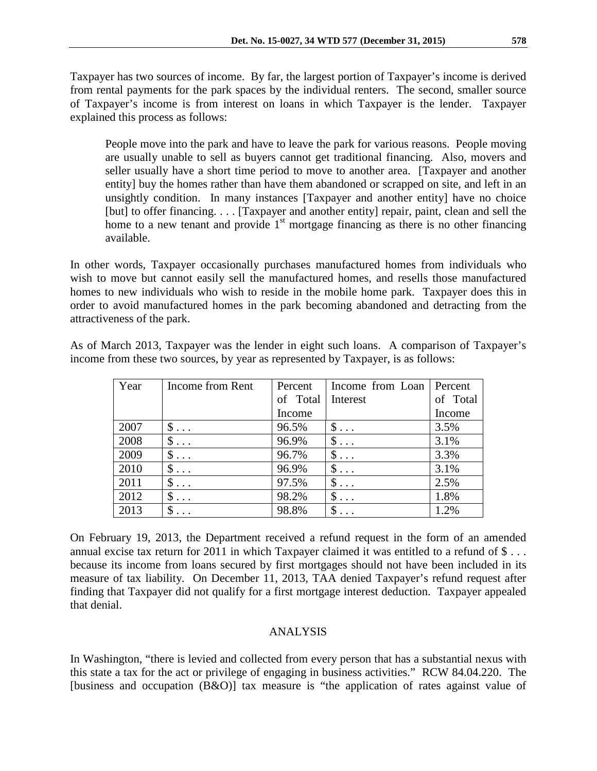Taxpayer has two sources of income. By far, the largest portion of Taxpayer's income is derived from rental payments for the park spaces by the individual renters. The second, smaller source of Taxpayer's income is from interest on loans in which Taxpayer is the lender. Taxpayer explained this process as follows:

People move into the park and have to leave the park for various reasons. People moving are usually unable to sell as buyers cannot get traditional financing. Also, movers and seller usually have a short time period to move to another area. [Taxpayer and another entity] buy the homes rather than have them abandoned or scrapped on site, and left in an unsightly condition. In many instances [Taxpayer and another entity] have no choice [but] to offer financing. . . . [Taxpayer and another entity] repair, paint, clean and sell the home to a new tenant and provide  $1<sup>st</sup>$  mortgage financing as there is no other financing available.

In other words, Taxpayer occasionally purchases manufactured homes from individuals who wish to move but cannot easily sell the manufactured homes, and resells those manufactured homes to new individuals who wish to reside in the mobile home park. Taxpayer does this in order to avoid manufactured homes in the park becoming abandoned and detracting from the attractiveness of the park.

As of March 2013, Taxpayer was the lender in eight such loans. A comparison of Taxpayer's income from these two sources, by year as represented by Taxpayer, is as follows:

| Year | Income from Rent    | Percent  | Income from Loan | Percent  |
|------|---------------------|----------|------------------|----------|
|      |                     | of Total | Interest         | of Total |
|      |                     | Income   |                  | Income   |
| 2007 | $\$\ldots$          | 96.5%    | $\$\ldots$       | 3.5%     |
| 2008 | $\mathsf{\$}\ldots$ | 96.9%    | $\$\ldots$       | 3.1%     |
| 2009 | $\$\ldots$          | 96.7%    | $\$\ldots$       | 3.3%     |
| 2010 | $\$\ldots$          | 96.9%    | $\$\ldots$       | 3.1%     |
| 2011 | $\$\ldots$          | 97.5%    | \$<br>$\ddots$   | 2.5%     |
| 2012 | $\$\ldots$          | 98.2%    | \$<br>$\ddots$   | 1.8%     |
| 2013 |                     | 98.8%    | \$               | 1.2%     |

On February 19, 2013, the Department received a refund request in the form of an amended annual excise tax return for 2011 in which Taxpayer claimed it was entitled to a refund of \$ . . . because its income from loans secured by first mortgages should not have been included in its measure of tax liability. On December 11, 2013, TAA denied Taxpayer's refund request after finding that Taxpayer did not qualify for a first mortgage interest deduction. Taxpayer appealed that denial.

# ANALYSIS

In Washington, "there is levied and collected from every person that has a substantial nexus with this state a tax for the act or privilege of engaging in business activities." RCW 84.04.220. The [business and occupation (B&O)] tax measure is "the application of rates against value of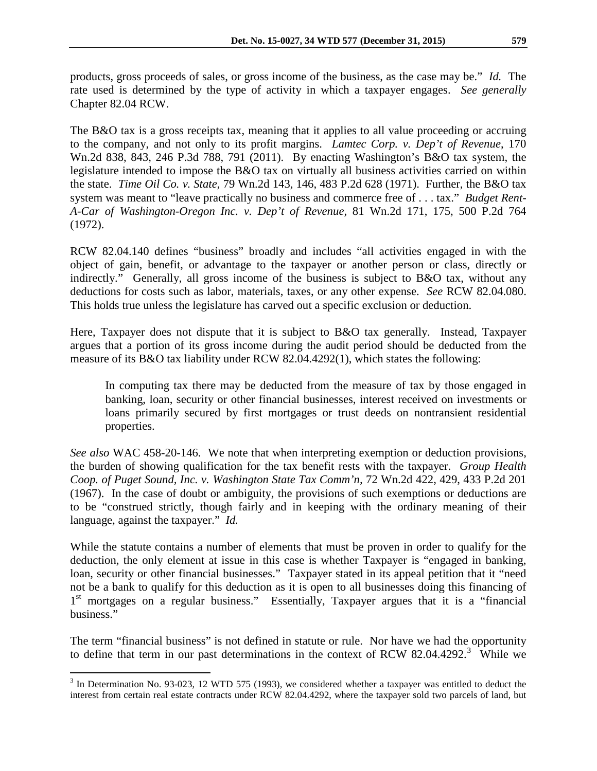products, gross proceeds of sales, or gross income of the business, as the case may be." *Id.* The rate used is determined by the type of activity in which a taxpayer engages. *See generally*  Chapter 82.04 RCW.

The B&O tax is a gross receipts tax, meaning that it applies to all value proceeding or accruing to the company, and not only to its profit margins. *Lamtec Corp. v. Dep't of Revenue*, 170 Wn.2d 838, 843, 246 P.3d 788, 791 (2011). By enacting Washington's B&O tax system, the legislature intended to impose the B&O tax on virtually all business activities carried on within the state. *Time Oil Co. v. State,* 79 Wn.2d 143, 146, 483 P.2d 628 (1971). Further, the B&O tax system was meant to "leave practically no business and commerce free of . . . tax." *Budget Rent-A-Car of Washington-Oregon Inc. v. Dep't of Revenue,* 81 Wn.2d 171, 175, 500 P.2d 764 (1972).

RCW 82.04.140 defines "business" broadly and includes "all activities engaged in with the object of gain, benefit, or advantage to the taxpayer or another person or class, directly or indirectly." Generally, all gross income of the business is subject to B&O tax, without any deductions for costs such as labor, materials, taxes, or any other expense. *See* RCW 82.04.080. This holds true unless the legislature has carved out a specific exclusion or deduction.

Here, Taxpayer does not dispute that it is subject to B&O tax generally. Instead, Taxpayer argues that a portion of its gross income during the audit period should be deducted from the measure of its B&O tax liability under RCW 82.04.4292(1), which states the following:

In computing tax there may be deducted from the measure of tax by those engaged in banking, loan, security or other financial businesses, interest received on investments or loans primarily secured by first mortgages or trust deeds on nontransient residential properties.

*See also* WAC 458-20-146. We note that when interpreting exemption or deduction provisions, the burden of showing qualification for the tax benefit rests with the taxpayer. *Group Health Coop. of Puget Sound, Inc. v. Washington State Tax Comm'n,* 72 Wn.2d 422, 429, 433 P.2d 201 (1967). In the case of doubt or ambiguity, the provisions of such exemptions or deductions are to be "construed strictly, though fairly and in keeping with the ordinary meaning of their language, against the taxpayer." *Id.*

While the statute contains a number of elements that must be proven in order to qualify for the deduction, the only element at issue in this case is whether Taxpayer is "engaged in banking, loan, security or other financial businesses." Taxpayer stated in its appeal petition that it "need not be a bank to qualify for this deduction as it is open to all businesses doing this financing of 1<sup>st</sup> mortgages on a regular business." Essentially, Taxpayer argues that it is a "financial business."

The term "financial business" is not defined in statute or rule. Nor have we had the opportunity to define that term in our past determinations in the context of RCW 82.04.4292.<sup>[3](#page-2-0)</sup> While we

<span id="page-2-0"></span><sup>&</sup>lt;sup>3</sup> In Determination No. 93-023, 12 WTD 575 (1993), we considered whether a taxpayer was entitled to deduct the interest from certain real estate contracts under RCW 82.04.4292, where the taxpayer sold two parcels of land, but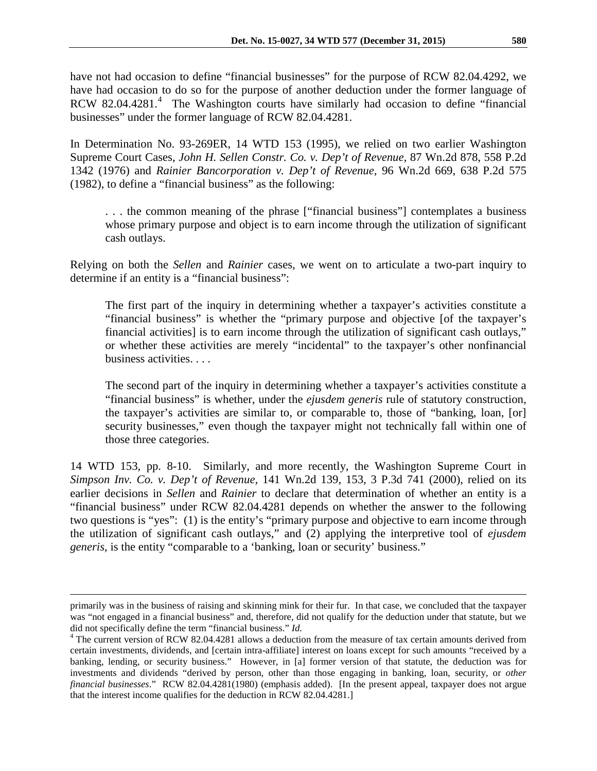have not had occasion to define "financial businesses" for the purpose of RCW 82.04.4292, we have had occasion to do so for the purpose of another deduction under the former language of RCW 82.0[4](#page-3-0).4281.<sup>4</sup> The Washington courts have similarly had occasion to define "financial businesses" under the former language of RCW 82.04.4281.

In Determination No. 93-269ER, 14 WTD 153 (1995), we relied on two earlier Washington Supreme Court Cases, *John H. Sellen Constr. Co. v. Dep't of Revenue,* 87 Wn.2d 878, 558 P.2d 1342 (1976) and *Rainier Bancorporation v. Dep't of Revenue,* 96 Wn.2d 669, 638 P.2d 575 (1982), to define a "financial business" as the following:

. . . the common meaning of the phrase ["financial business"] contemplates a business whose primary purpose and object is to earn income through the utilization of significant cash outlays.

Relying on both the *Sellen* and *Rainier* cases, we went on to articulate a two-part inquiry to determine if an entity is a "financial business":

The first part of the inquiry in determining whether a taxpayer's activities constitute a "financial business" is whether the "primary purpose and objective [of the taxpayer's financial activities] is to earn income through the utilization of significant cash outlays," or whether these activities are merely "incidental" to the taxpayer's other nonfinancial business activities. . . .

The second part of the inquiry in determining whether a taxpayer's activities constitute a "financial business" is whether, under the *ejusdem generis* rule of statutory construction, the taxpayer's activities are similar to, or comparable to, those of "banking, loan, [or] security businesses," even though the taxpayer might not technically fall within one of those three categories.

14 WTD 153, pp. 8-10. Similarly, and more recently, the Washington Supreme Court in *Simpson Inv. Co. v. Dep't of Revenue,* 141 Wn.2d 139, 153, 3 P.3d 741 (2000), relied on its earlier decisions in *Sellen* and *Rainier* to declare that determination of whether an entity is a "financial business" under RCW 82.04.4281 depends on whether the answer to the following two questions is "yes": (1) is the entity's "primary purpose and objective to earn income through the utilization of significant cash outlays," and (2) applying the interpretive tool of *ejusdem generis*, is the entity "comparable to a 'banking, loan or security' business."

 $\overline{a}$ 

primarily was in the business of raising and skinning mink for their fur. In that case, we concluded that the taxpayer was "not engaged in a financial business" and, therefore, did not qualify for the deduction under that statute, but we did not specifically define the term "financial business." *Id.* 4 The current version of RCW 82.04.4281 allows a deduction from the measure of tax certain amounts derived from

<span id="page-3-0"></span>certain investments, dividends, and [certain intra-affiliate] interest on loans except for such amounts "received by a banking, lending, or security business." However, in [a] former version of that statute, the deduction was for investments and dividends "derived by person, other than those engaging in banking, loan, security, or *other financial businesses*." RCW 82.04.4281(1980) (emphasis added). [In the present appeal, taxpayer does not argue that the interest income qualifies for the deduction in RCW 82.04.4281.]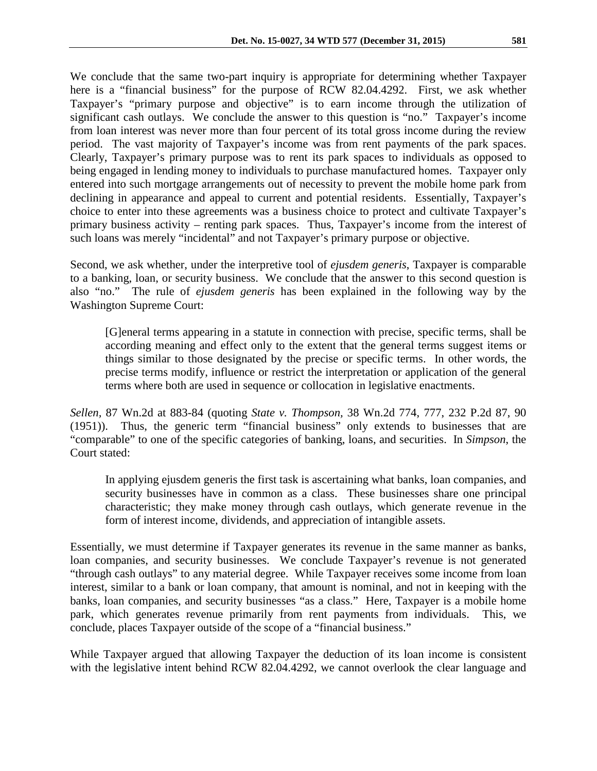We conclude that the same two-part inquiry is appropriate for determining whether Taxpayer here is a "financial business" for the purpose of RCW 82.04.4292. First, we ask whether Taxpayer's "primary purpose and objective" is to earn income through the utilization of significant cash outlays. We conclude the answer to this question is "no." Taxpayer's income from loan interest was never more than four percent of its total gross income during the review period. The vast majority of Taxpayer's income was from rent payments of the park spaces. Clearly, Taxpayer's primary purpose was to rent its park spaces to individuals as opposed to being engaged in lending money to individuals to purchase manufactured homes. Taxpayer only entered into such mortgage arrangements out of necessity to prevent the mobile home park from declining in appearance and appeal to current and potential residents. Essentially, Taxpayer's choice to enter into these agreements was a business choice to protect and cultivate Taxpayer's primary business activity – renting park spaces. Thus, Taxpayer's income from the interest of such loans was merely "incidental" and not Taxpayer's primary purpose or objective.

Second, we ask whether, under the interpretive tool of *ejusdem generis*, Taxpayer is comparable to a banking, loan, or security business. We conclude that the answer to this second question is also "no." The rule of *ejusdem generis* has been explained in the following way by the Washington Supreme Court:

[G]eneral terms appearing in a statute in connection with precise, specific terms, shall be according meaning and effect only to the extent that the general terms suggest items or things similar to those designated by the precise or specific terms. In other words, the precise terms modify, influence or restrict the interpretation or application of the general terms where both are used in sequence or collocation in legislative enactments.

*Sellen,* 87 Wn.2d at 883-84 (quoting *State v. Thompson,* 38 Wn.2d 774, 777, 232 P.2d 87, 90 (1951)). Thus, the generic term "financial business" only extends to businesses that are "comparable" to one of the specific categories of banking, loans, and securities. In *Simpson*, the Court stated:

In applying ejusdem generis the first task is ascertaining what banks, loan companies, and security businesses have in common as a class. These businesses share one principal characteristic; they make money through cash outlays, which generate revenue in the form of interest income, dividends, and appreciation of intangible assets.

Essentially, we must determine if Taxpayer generates its revenue in the same manner as banks, loan companies, and security businesses. We conclude Taxpayer's revenue is not generated "through cash outlays" to any material degree. While Taxpayer receives some income from loan interest, similar to a bank or loan company, that amount is nominal, and not in keeping with the banks, loan companies, and security businesses "as a class." Here, Taxpayer is a mobile home park, which generates revenue primarily from rent payments from individuals. This, we conclude, places Taxpayer outside of the scope of a "financial business."

While Taxpayer argued that allowing Taxpayer the deduction of its loan income is consistent with the legislative intent behind RCW 82.04.4292, we cannot overlook the clear language and